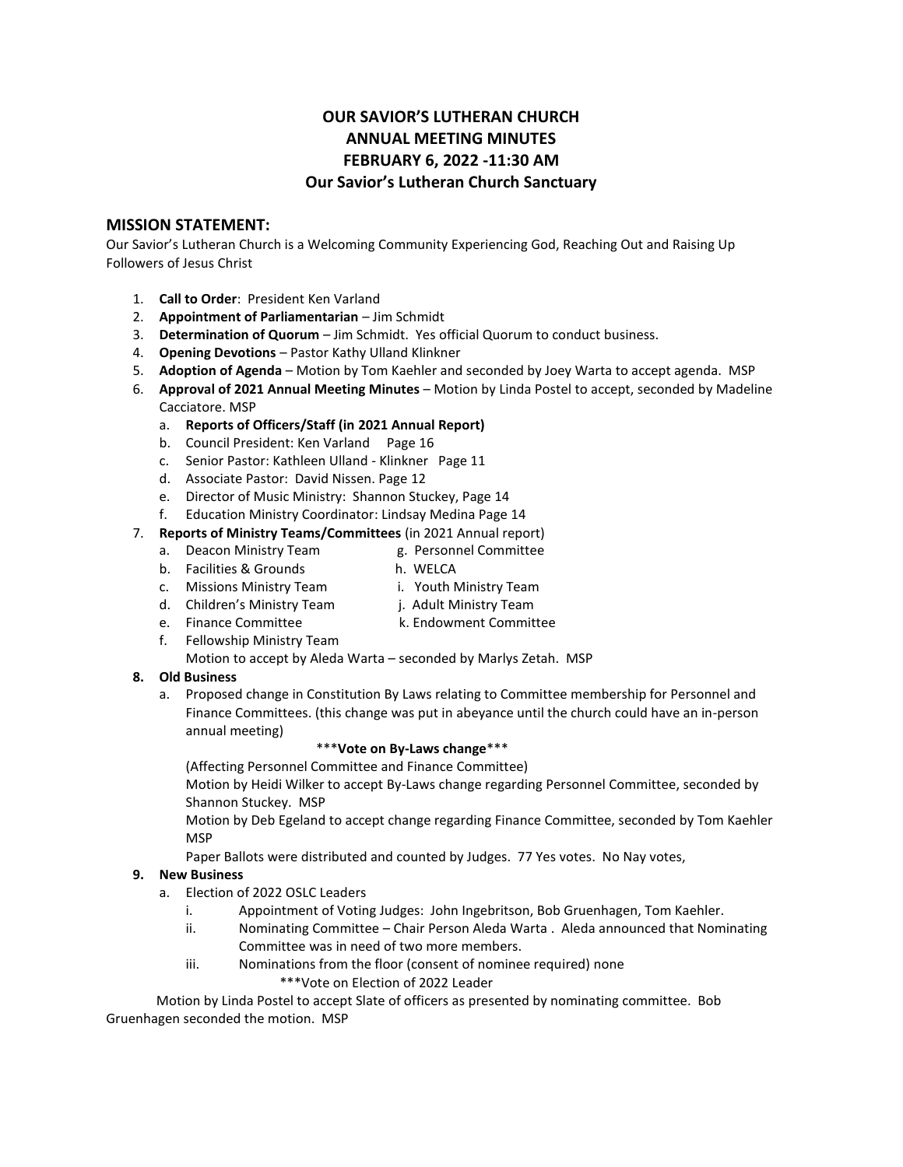# **OUR SAVIOR'S LUTHERAN CHURCH ANNUAL MEETING MINUTES FEBRUARY 6, 2022 -11:30 AM Our Savior's Lutheran Church Sanctuary**

### **MISSION STATEMENT:**

Our Savior's Lutheran Church is a Welcoming Community Experiencing God, Reaching Out and Raising Up Followers of Jesus Christ

- 1. **Call to Order**: President Ken Varland
- 2. **Appointment of Parliamentarian** Jim Schmidt
- 3. **Determination of Quorum** Jim Schmidt. Yes official Quorum to conduct business.
- 4. **Opening Devotions** Pastor Kathy Ulland Klinkner
- 5. **Adoption of Agenda** Motion by Tom Kaehler and seconded by Joey Warta to accept agenda. MSP
- 6. **Approval of 2021 Annual Meeting Minutes** Motion by Linda Postel to accept, seconded by Madeline Cacciatore. MSP
	- a. **Reports of Officers/Staff (in 2021 Annual Report)**
	- b. Council President: Ken Varland Page 16
	- c. Senior Pastor: Kathleen Ulland Klinkner Page 11
	- d. Associate Pastor: David Nissen. Page 12
	- e. Director of Music Ministry: Shannon Stuckey, Page 14
	- f. Education Ministry Coordinator: Lindsay Medina Page 14

## 7. **Reports of Ministry Teams/Committees** (in 2021 Annual report)

- a. Deacon Ministry Team g. Personnel Committee
	- b. Facilities & Grounds h. WELCA
	- c. Missions Ministry Team i. Youth Ministry Team
- 
- d. Children's Ministry Team j. Adult Ministry Team
- 
- e. Finance Committee **K. Endowment Committee**
- f. Fellowship Ministry Team

Motion to accept by Aleda Warta – seconded by Marlys Zetah. MSP

#### **8. Old Business**

a. Proposed change in Constitution By Laws relating to Committee membership for Personnel and Finance Committees. (this change was put in abeyance until the church could have an in-person annual meeting)

#### \*\*\***Vote on By-Laws change**\*\*\*

(Affecting Personnel Committee and Finance Committee)

Motion by Heidi Wilker to accept By-Laws change regarding Personnel Committee, seconded by Shannon Stuckey. MSP

Motion by Deb Egeland to accept change regarding Finance Committee, seconded by Tom Kaehler **MSP** 

Paper Ballots were distributed and counted by Judges. 77 Yes votes. No Nay votes,

#### **9. New Business**

- a. Election of 2022 OSLC Leaders
	- i. Appointment of Voting Judges: John Ingebritson, Bob Gruenhagen, Tom Kaehler.
	- ii. Nominating Committee Chair Person Aleda Warta . Aleda announced that Nominating Committee was in need of two more members.
	- iii. Nominations from the floor (consent of nominee required) none \*\*\*Vote on Election of 2022 Leader

 Motion by Linda Postel to accept Slate of officers as presented by nominating committee. Bob Gruenhagen seconded the motion. MSP